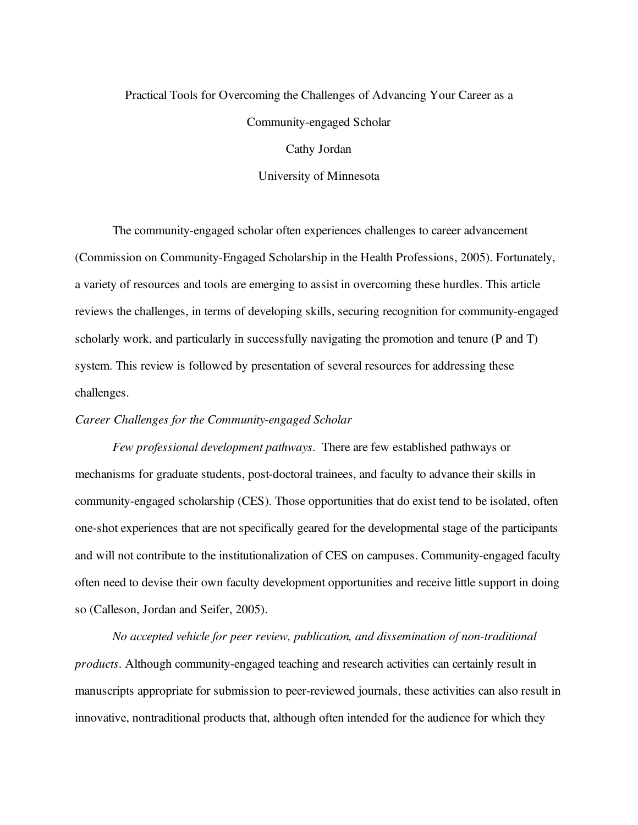# Practical Tools for Overcoming the Challenges of Advancing Your Career as a Community-engaged Scholar

Cathy Jordan

University of Minnesota

The community-engaged scholar often experiences challenges to career advancement (Commission on Community-Engaged Scholarship in the Health Professions, 2005). Fortunately, a variety of resources and tools are emerging to assist in overcoming these hurdles. This article reviews the challenges, in terms of developing skills, securing recognition for community-engaged scholarly work, and particularly in successfully navigating the promotion and tenure (P and T) system. This review is followed by presentation of several resources for addressing these challenges.

## *Career Challenges for the Community-engaged Scholar*

*Few professional development pathways*. There are few established pathways or mechanisms for graduate students, post-doctoral trainees, and faculty to advance their skills in community-engaged scholarship (CES). Those opportunities that do exist tend to be isolated, often one-shot experiences that are not specifically geared for the developmental stage of the participants and will not contribute to the institutionalization of CES on campuses. Community-engaged faculty often need to devise their own faculty development opportunities and receive little support in doing so (Calleson, Jordan and Seifer, 2005).

*No accepted vehicle for peer review, publication, and dissemination of non-traditional products*. Although community-engaged teaching and research activities can certainly result in manuscripts appropriate for submission to peer-reviewed journals, these activities can also result in innovative, nontraditional products that, although often intended for the audience for which they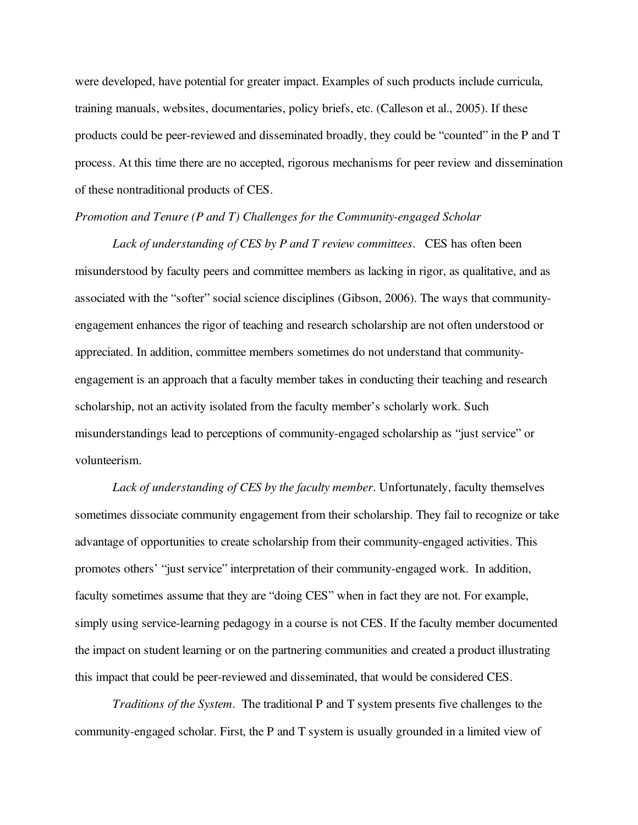were developed, have potential for greater impact. Examples of such products include curricula, training manuals, websites, documentaries, policy briefs, etc. (Calleson et al., 2005). If these products could be peer-reviewed and disseminated broadly, they could be "counted" in the P and T process. At this time there are no accepted, rigorous mechanisms for peer review and dissemination of these nontraditional products of CES.

## *Promotion and Tenure (P and T) Challenges for the Community-engaged Scholar*

*Lack of understanding of CES by P and T review committees*. CES has often been misunderstood by faculty peers and committee members as lacking in rigor, as qualitative, and as associated with the "softer" social science disciplines (Gibson, 2006). The ways that communityengagement enhances the rigor of teaching and research scholarship are not often understood or appreciated. In addition, committee members sometimes do not understand that communityengagement is an approach that a faculty member takes in conducting their teaching and research scholarship, not an activity isolated from the faculty member's scholarly work. Such misunderstandings lead to perceptions of community-engaged scholarship as "just service" or volunteerism.

*Lack of understanding of CES by the faculty member*. Unfortunately, faculty themselves sometimes dissociate community engagement from their scholarship. They fail to recognize or take advantage of opportunities to create scholarship from their community-engaged activities. This promotes others' "just service" interpretation of their community-engaged work. In addition, faculty sometimes assume that they are "doing CES" when in fact they are not. For example, simply using service-learning pedagogy in a course is not CES. If the faculty member documented the impact on student learning or on the partnering communities and created a product illustrating this impact that could be peer-reviewed and disseminated, that would be considered CES.

*Traditions of the System*. The traditional P and T system presents five challenges to the community-engaged scholar. First, the P and T system is usually grounded in a limited view of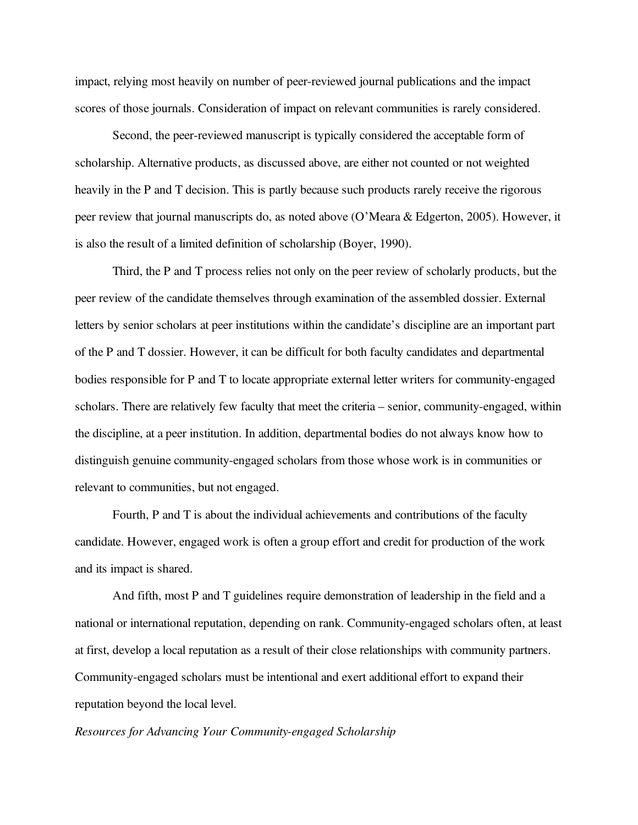impact, relying most heavily on number of peer-reviewed journal publications and the impact scores of those journals. Consideration of impact on relevant communities is rarely considered.

Second, the peer-reviewed manuscript is typically considered the acceptable form of scholarship. Alternative products, as discussed above, are either not counted or not weighted heavily in the P and T decision. This is partly because such products rarely receive the rigorous peer review that journal manuscripts do, as noted above (O'Meara & Edgerton, 2005). However, it is also the result of a limited definition of scholarship (Boyer, 1990).

Third, the P and T process relies not only on the peer review of scholarly products, but the peer review of the candidate themselves through examination of the assembled dossier. External letters by senior scholars at peer institutions within the candidate's discipline are an important part of the P and T dossier. However, it can be difficult for both faculty candidates and departmental bodies responsible for P and T to locate appropriate external letter writers for community-engaged scholars. There are relatively few faculty that meet the criteria – senior, community-engaged, within the discipline, at a peer institution. In addition, departmental bodies do not always know how to distinguish genuine community-engaged scholars from those whose work is in communities or relevant to communities, but not engaged.

Fourth, P and T is about the individual achievements and contributions of the faculty candidate. However, engaged work is often a group effort and credit for production of the work and its impact is shared.

And fifth, most P and T guidelines require demonstration of leadership in the field and a national or international reputation, depending on rank. Community-engaged scholars often, at least at first, develop a local reputation as a result of their close relationships with community partners. Community-engaged scholars must be intentional and exert additional effort to expand their reputation beyond the local level.

#### *Resources for Advancing Your Community-engaged Scholarship*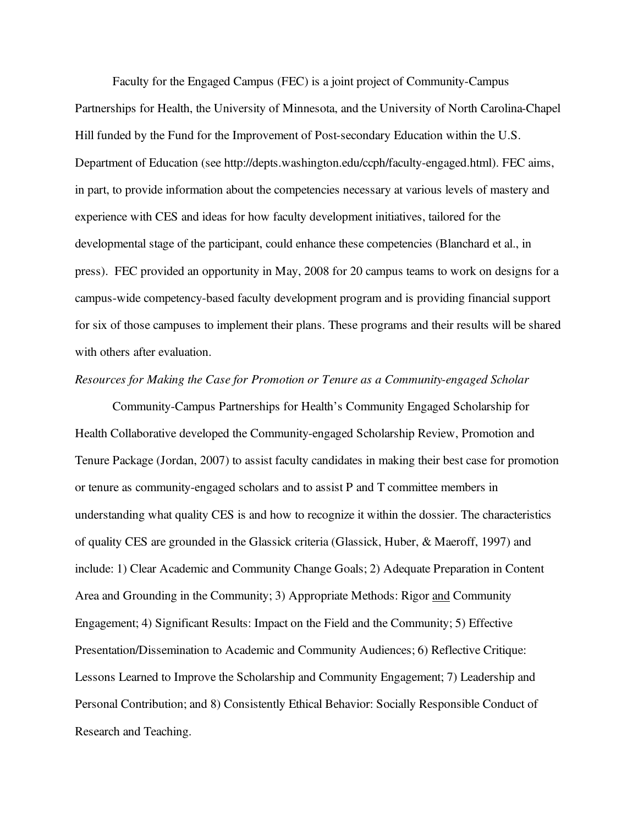Faculty for the Engaged Campus (FEC) is a joint project of Community-Campus Partnerships for Health, the University of Minnesota, and the University of North Carolina-Chapel Hill funded by the Fund for the Improvement of Post-secondary Education within the U.S. Department of Education (see http://depts.washington.edu/ccph/faculty-engaged.html). FEC aims, in part, to provide information about the competencies necessary at various levels of mastery and experience with CES and ideas for how faculty development initiatives, tailored for the developmental stage of the participant, could enhance these competencies (Blanchard et al., in press). FEC provided an opportunity in May, 2008 for 20 campus teams to work on designs for a campus-wide competency-based faculty development program and is providing financial support for six of those campuses to implement their plans. These programs and their results will be shared with others after evaluation.

### *Resources for Making the Case for Promotion or Tenure as a Community-engaged Scholar*

Community-Campus Partnerships for Health's Community Engaged Scholarship for Health Collaborative developed the Community-engaged Scholarship Review, Promotion and Tenure Package (Jordan, 2007) to assist faculty candidates in making their best case for promotion or tenure as community-engaged scholars and to assist P and T committee members in understanding what quality CES is and how to recognize it within the dossier. The characteristics of quality CES are grounded in the Glassick criteria (Glassick, Huber, & Maeroff, 1997) and include: 1) Clear Academic and Community Change Goals; 2) Adequate Preparation in Content Area and Grounding in the Community; 3) Appropriate Methods: Rigor and Community Engagement; 4) Significant Results: Impact on the Field and the Community; 5) Effective Presentation/Dissemination to Academic and Community Audiences; 6) Reflective Critique: Lessons Learned to Improve the Scholarship and Community Engagement; 7) Leadership and Personal Contribution; and 8) Consistently Ethical Behavior: Socially Responsible Conduct of Research and Teaching.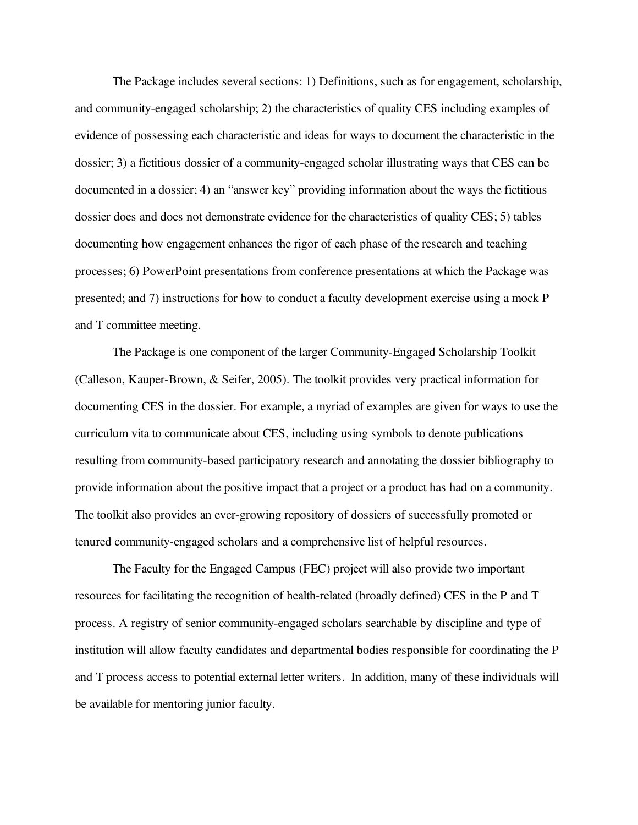The Package includes several sections: 1) Definitions, such as for engagement, scholarship, and community-engaged scholarship; 2) the characteristics of quality CES including examples of evidence of possessing each characteristic and ideas for ways to document the characteristic in the dossier; 3) a fictitious dossier of a community-engaged scholar illustrating ways that CES can be documented in a dossier; 4) an "answer key" providing information about the ways the fictitious dossier does and does not demonstrate evidence for the characteristics of quality CES; 5) tables documenting how engagement enhances the rigor of each phase of the research and teaching processes; 6) PowerPoint presentations from conference presentations at which the Package was presented; and 7) instructions for how to conduct a faculty development exercise using a mock P and T committee meeting.

The Package is one component of the larger Community-Engaged Scholarship Toolkit (Calleson, Kauper-Brown, & Seifer, 2005). The toolkit provides very practical information for documenting CES in the dossier. For example, a myriad of examples are given for ways to use the curriculum vita to communicate about CES, including using symbols to denote publications resulting from community-based participatory research and annotating the dossier bibliography to provide information about the positive impact that a project or a product has had on a community. The toolkit also provides an ever-growing repository of dossiers of successfully promoted or tenured community-engaged scholars and a comprehensive list of helpful resources.

The Faculty for the Engaged Campus (FEC) project will also provide two important resources for facilitating the recognition of health-related (broadly defined) CES in the P and T process. A registry of senior community-engaged scholars searchable by discipline and type of institution will allow faculty candidates and departmental bodies responsible for coordinating the P and T process access to potential external letter writers. In addition, many of these individuals will be available for mentoring junior faculty.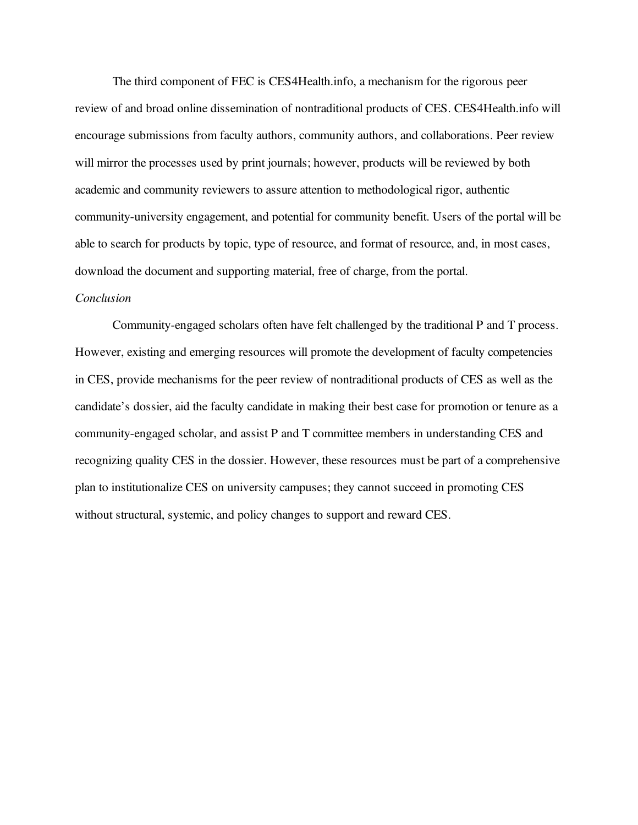The third component of FEC is CES4Health.info, a mechanism for the rigorous peer review of and broad online dissemination of nontraditional products of CES. CES4Health.info will encourage submissions from faculty authors, community authors, and collaborations. Peer review will mirror the processes used by print journals; however, products will be reviewed by both academic and community reviewers to assure attention to methodological rigor, authentic community-university engagement, and potential for community benefit. Users of the portal will be able to search for products by topic, type of resource, and format of resource, and, in most cases, download the document and supporting material, free of charge, from the portal.

## *Conclusion*

Community-engaged scholars often have felt challenged by the traditional P and T process. However, existing and emerging resources will promote the development of faculty competencies in CES, provide mechanisms for the peer review of nontraditional products of CES as well as the candidate's dossier, aid the faculty candidate in making their best case for promotion or tenure as a community-engaged scholar, and assist P and T committee members in understanding CES and recognizing quality CES in the dossier. However, these resources must be part of a comprehensive plan to institutionalize CES on university campuses; they cannot succeed in promoting CES without structural, systemic, and policy changes to support and reward CES.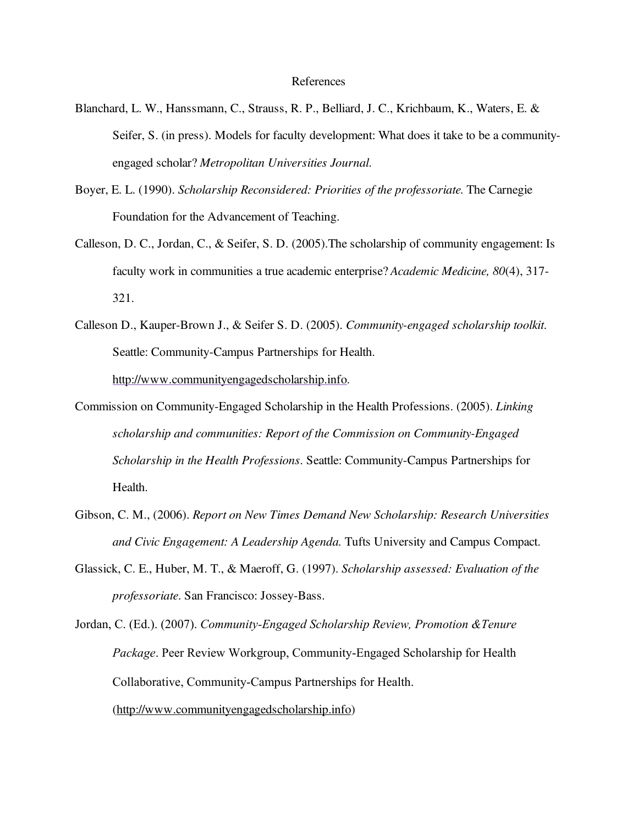#### References

- Blanchard, L. W., Hanssmann, C., Strauss, R. P., Belliard, J. C., Krichbaum, K., Waters, E. & Seifer, S. (in press). Models for faculty development: What does it take to be a communityengaged scholar? *Metropolitan Universities Journal*.
- Boyer, E. L. (1990). *Scholarship Reconsidered: Priorities of the professoriate.* The Carnegie Foundation for the Advancement of Teaching.
- Calleson, D. C., Jordan, C., & Seifer, S. D. (2005).The scholarship of community engagement: Is faculty work in communities a true academic enterprise? *Academic Medicine, 80*(4), 317- 321.
- Calleson D., Kauper-Brown J., & Seifer S. D. (2005). *Community-engaged scholarship toolkit*. Seattle: Community-Campus Partnerships for Health. http://www.communityengagedscholarship.info.
- Commission on Community-Engaged Scholarship in the Health Professions. (2005). *Linking scholarship and communities: Report of the Commission on Community-Engaged Scholarship in the Health Professions*. Seattle: Community-Campus Partnerships for Health.
- Gibson, C. M., (2006). *Report on New Times Demand New Scholarship: Research Universities and Civic Engagement: A Leadership Agenda.* Tufts University and Campus Compact.
- Glassick, C. E., Huber, M. T., & Maeroff, G. (1997). *Scholarship assessed: Evaluation of the professoriate*. San Francisco: Jossey-Bass.

Jordan, C. (Ed.). (2007). *Community-Engaged Scholarship Review, Promotion &Tenure Package*. Peer Review Workgroup, Community-Engaged Scholarship for Health Collaborative, Community-Campus Partnerships for Health.

(http://www.communityengagedscholarship.info)